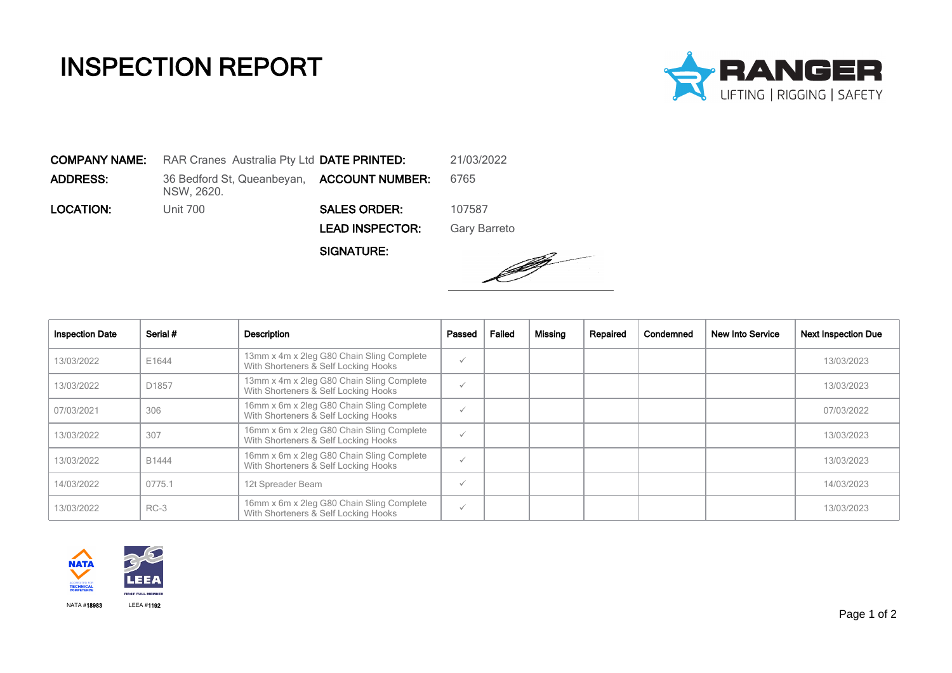## INSPECTION REPORT



COMPANY NAME: RAR Cranes Australia Pty Ltd DATE PRINTED: 21/03/2022 **ADDRESS:** 36 Bedford St, Queanbeyan, **ACCOUNT NUMBER:** 6765 NSW, 2620. **LOCATION:** Unit 700 **SALES ORDER:** 107587 LEAD INSPECTOR: Gary Barreto

SIGNATURE:



| <b>Inspection Date</b> | Serial # | Description                                                                       | Passed       | Failed | Missing | Repaired | Condemned | New Into Service | <b>Next Inspection Due</b> |
|------------------------|----------|-----------------------------------------------------------------------------------|--------------|--------|---------|----------|-----------|------------------|----------------------------|
| 13/03/2022             | E1644    | 13mm x 4m x 2leg G80 Chain Sling Complete<br>With Shorteners & Self Locking Hooks | $\checkmark$ |        |         |          |           |                  | 13/03/2023                 |
| 13/03/2022             | D1857    | 13mm x 4m x 2leg G80 Chain Sling Complete<br>With Shorteners & Self Locking Hooks | $\checkmark$ |        |         |          |           |                  | 13/03/2023                 |
| 07/03/2021             | 306      | 16mm x 6m x 2leg G80 Chain Sling Complete<br>With Shorteners & Self Locking Hooks | $\checkmark$ |        |         |          |           |                  | 07/03/2022                 |
| 13/03/2022             | 307      | 16mm x 6m x 2leg G80 Chain Sling Complete<br>With Shorteners & Self Locking Hooks | $\checkmark$ |        |         |          |           |                  | 13/03/2023                 |
| 13/03/2022             | B1444    | 16mm x 6m x 2leg G80 Chain Sling Complete<br>With Shorteners & Self Locking Hooks | ✓            |        |         |          |           |                  | 13/03/2023                 |
| 14/03/2022             | 0775.1   | 12t Spreader Beam                                                                 | $\checkmark$ |        |         |          |           |                  | 14/03/2023                 |
| 13/03/2022             | $RC-3$   | 16mm x 6m x 2leg G80 Chain Sling Complete<br>With Shorteners & Self Locking Hooks | $\checkmark$ |        |         |          |           |                  | 13/03/2023                 |